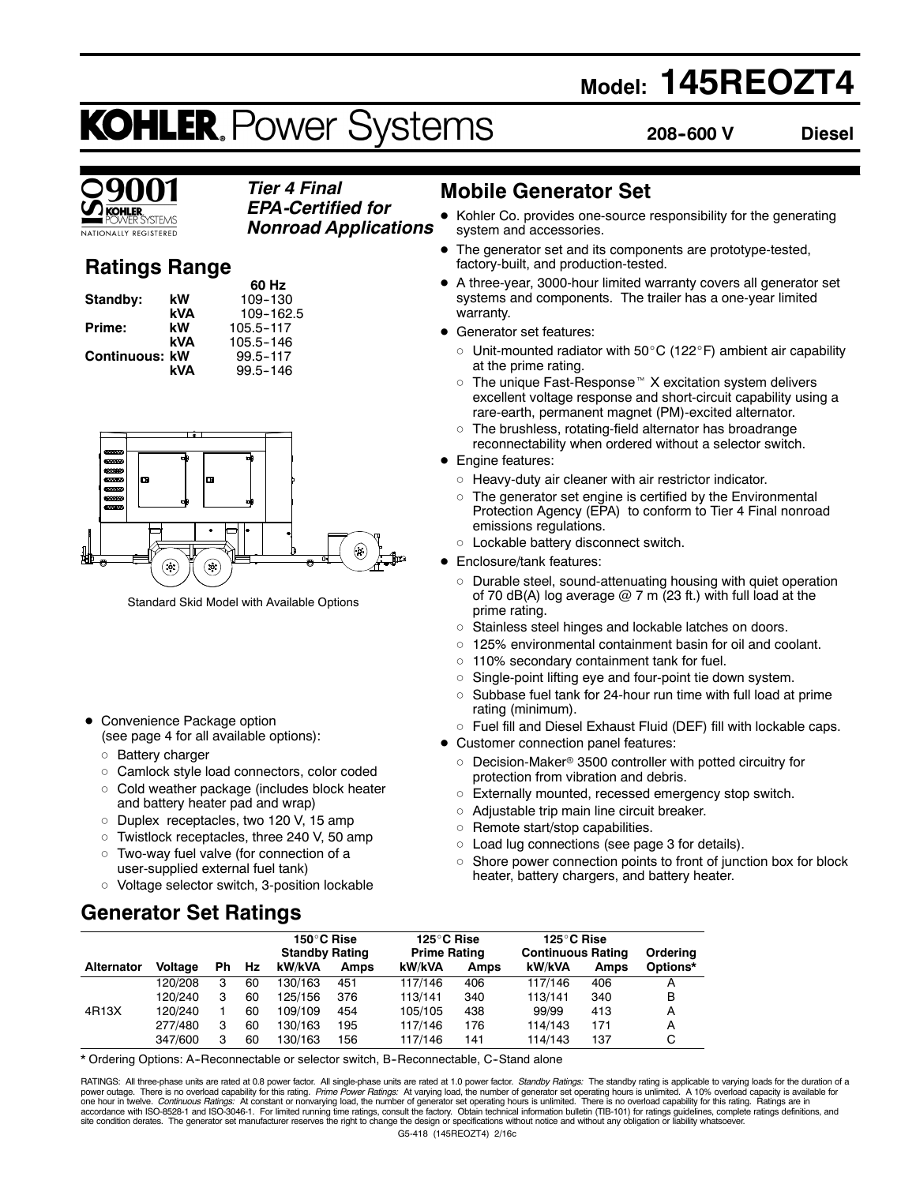# **Model: 145REOZT4**

# **KOHLER. Power Systems**

**208--600 V Diesel**

### *Tier 4 Final EPA-Certified for*

**TIONALLY REGISTERED** 

*Nonroad Applications*

## **Ratings Range**

|                |     | 60 Hz     |
|----------------|-----|-----------|
| Standby:       | kW  | 109-130   |
|                | kVA | 109-162.5 |
| Prime:         | kW  | 105.5-117 |
|                | kVA | 105.5-146 |
| Continuous: kW |     | 99.5-117  |
|                | kVA | 99.5-146  |



Standard Skid Model with Available Options

- Convenience Package option (see page 4 for all available options):
	- o Battery charger
	- o Camlock style load connectors, color coded
	- $\circ$  Cold weather package (includes block heater and battery heater pad and wrap)
	- o Duplex receptacles, two 120 V, 15 amp
	- $\circ$  Twistlock receptacles, three 240 V, 50 amp
	- o Two-way fuel valve (for connection of a user-supplied external fuel tank)
	- o Voltage selector switch, 3-position lockable

### **Generator Set Ratings**

### **Mobile Generator Set**

- Kohler Co. provides one-source responsibility for the generating system and accessories.
- The generator set and its components are prototype-tested, factory-built, and production-tested.
- A three-year, 3000-hour limited warranty covers all generator set systems and components. The trailer has a one-year limited warranty.
- Generator set features:
	- $\circ$  Unit-mounted radiator with 50 $\rm{^{\circ}C}$  (122 $\rm{^{\circ}F}$ ) ambient air capability at the prime rating.
	- The unique Fast-Response $M X$  excitation system delivers excellent voltage response and short-circuit capability using a rare-earth, permanent magnet (PM)-excited alternator.
	- $\circ$  The brushless, rotating-field alternator has broadrange reconnectability when ordered without a selector switch.
- Engine features:
	- $\circ$  Heavy-duty air cleaner with air restrictor indicator.
	- $\circ$  The generator set engine is certified by the Environmental Protection Agency (EPA) to conform to Tier 4 Final nonroad emissions regulations.
- o Lockable battery disconnect switch.
- Enclosure/tank features:
	- $\circ$  Durable steel, sound-attenuating housing with quiet operation of 70 dB(A) log average  $@$  7 m (23 ft.) with full load at the prime rating.
	- o Stainless steel hinges and lockable latches on doors.
	- $\circ$  125% environmental containment basin for oil and coolant.
	- $\circ$  110% secondary containment tank for fuel.
	- $\circ$  Single-point lifting eye and four-point tie down system.
	- $\circ$  Subbase fuel tank for 24-hour run time with full load at prime rating (minimum).
	- $\circ$  Fuel fill and Diesel Exhaust Fluid (DEF) fill with lockable caps.
- Customer connection panel features:
	- $\circ$  Decision-Maker® 3500 controller with potted circuitry for protection from vibration and debris.
	- o Externally mounted, recessed emergency stop switch.
	- $\circ$  Adjustable trip main line circuit breaker.
	- $\circ$  Remote start/stop capabilities.
	- $\circ$  Load lug connections (see page 3 for details).
	- $\circ$  Shore power connection points to front of junction box for block heater, battery chargers, and battery heater.

|                   |                |     |      | 150°C Rise<br><b>Standby Rating</b> |             | 125°C Rise<br><b>Prime Rating</b> |             | 125°C Rise<br><b>Continuous Rating</b> |      | Ordering |
|-------------------|----------------|-----|------|-------------------------------------|-------------|-----------------------------------|-------------|----------------------------------------|------|----------|
| <b>Alternator</b> | <b>Voltage</b> | Ph. | - Hz | kW/kVA                              | <b>Amps</b> | kW/kVA                            | <b>Amps</b> | kW/kVA                                 | Amps | Options* |
|                   | 120/208        |     | 60   | 130/163                             | 451         | 117/146                           | 406         | 117/146                                | 406  |          |
|                   | 120/240        |     | 60   | 125/156                             | 376         | 113/141                           | 340         | 113/141                                | 340  | В        |
| 4R13X             | 120/240        |     | 60   | 109/109                             | 454         | 105/105                           | 438         | 99/99                                  | 413  | А        |
|                   | 277/480        | з   | 60   | 130/163                             | 195         | 117/146                           | 176         | 114/143                                | 171  | A        |
|                   | 347/600        |     | 60   | 130/163                             | 156         | 117/146                           | 141         | 114/143                                | 137  |          |

\* Ordering Options: A--Reconnectable or selector switch, B--Reconnectable, C--Stand alone

G5-418 (145REOZT4) 2/16c RATINGS: All three-phase units are rated at 0.8 power factor. All single-phase units are rated at 1.0 power factor. Standby Ratings: The standby rating is applicable to varying loads for the duration of a power outage. There is no overload capability for this rating. *Prime Power Ratings:* At varying load, the number of generator set operating hours is unlimited. A 10% overload capacity is available for<br>one hour in twelve.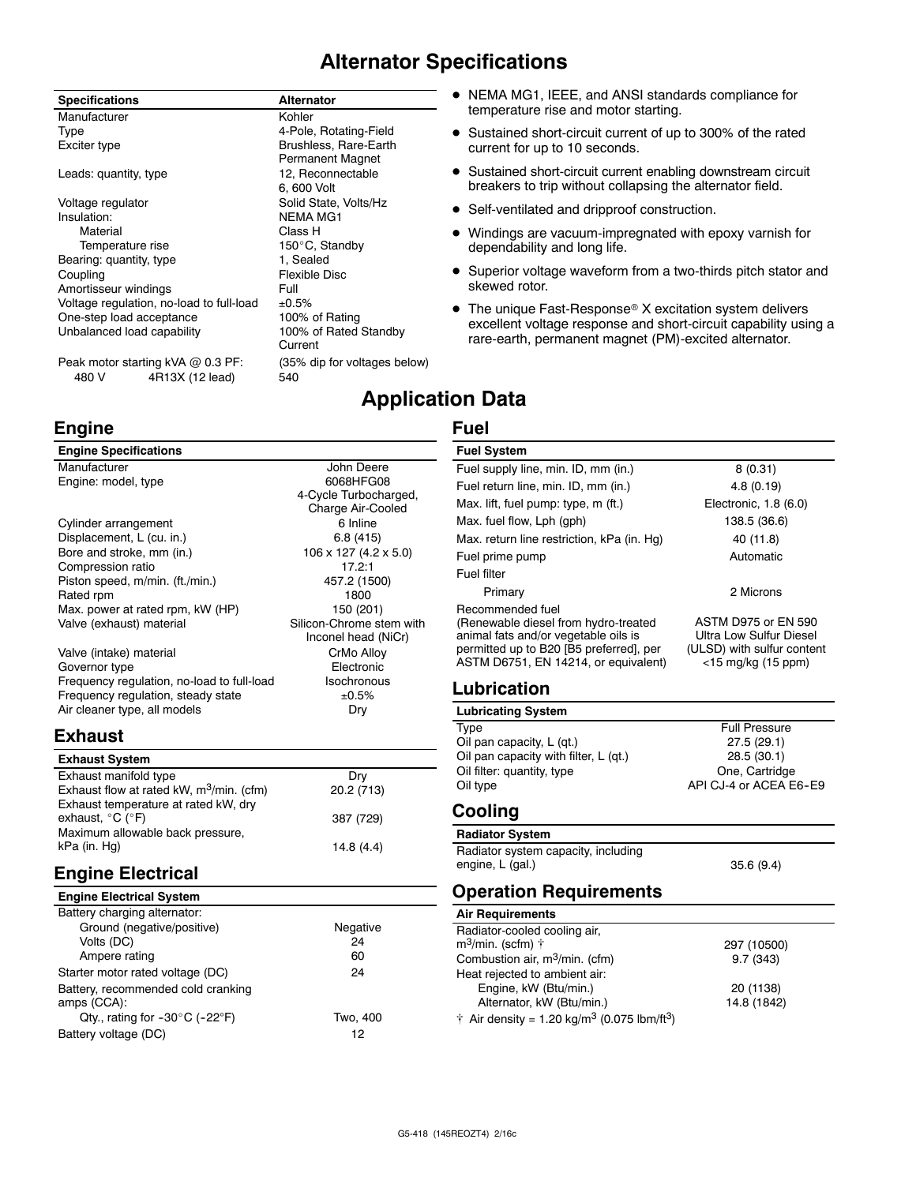### **Alternator Specifications**

#### **Specifications Alternator** Manufacturer **Kohler** Kohler Type 4-Pole, Rotating-Field Exciter type **Brushless**, Rare-Earth Permanent Magnet Leads: quantity, type 12, Reconnectable 6, 600 Volt Voltage regulator **Solid State, Volts/Hz** Insulation: NEMA MG1 Material Class H<br>Temperature rise Temporal Class H 150°C, Standby Bearing: quantity, type 1, Sealed Coupling **Flexible Disc** Amortisseur windings The Manuscript Control of Full Voltage regulation, no-load to full-load  $\pm 0.5\%$ <br>One-step load acceptance 100% of Rating One-step load acceptance Unbalanced load capability 100% of Rated Standby Current

Peak motor starting kVA @ 0.3 PF: (35% dip for voltages below) 480 V 4R13X (12 lead) 540

### **Engine**

### **Engine Specifications**

| Manufacturer                               | John Deere                          |
|--------------------------------------------|-------------------------------------|
| Engine: model, type                        | 6068HFG08                           |
|                                            | 4-Cycle Turbocharged,               |
|                                            | Charge Air-Cooled                   |
| Cylinder arrangement                       | 6 Inline                            |
| Displacement, L (cu. in.)                  | 6.8(415)                            |
| Bore and stroke, mm (in.)                  | $106 \times 127$ (4.2 $\times$ 5.0) |
| Compression ratio                          | 17.2:1                              |
| Piston speed, m/min. (ft./min.)            | 457.2 (1500)                        |
| Rated rpm                                  | 1800                                |
| Max. power at rated rpm, kW (HP)           | 150 (201)                           |
| Valve (exhaust) material                   | Silicon-Chrome stem with            |
|                                            | Inconel head (NiCr)                 |
| Valve (intake) material                    | CrMo Alloy                          |
| Governor type                              | Electronic                          |
| Frequency regulation, no-load to full-load | Isochronous                         |
| Frequency regulation, steady state         | ±0.5%                               |
| Air cleaner type, all models               | Dry                                 |

### **Exhaust**

| <b>Exhaust System</b>                                                               |            |
|-------------------------------------------------------------------------------------|------------|
| Exhaust manifold type                                                               | Drv        |
| Exhaust flow at rated kW, $m^3$ /min. (cfm)<br>Exhaust temperature at rated kW, dry | 20.2 (713) |
| exhaust, $^{\circ}$ C ( $^{\circ}$ F)                                               | 387 (729)  |
| Maximum allowable back pressure,<br>kPa (in. Hg)                                    | 14.8(4.4)  |

### **Engine Electrical**

| <b>Engine Electrical System</b> |  |
|---------------------------------|--|
| Battery charging alternator:    |  |

| Ground (negative/positive)                          | Negative |
|-----------------------------------------------------|----------|
| Volts (DC)                                          | 24       |
| Ampere rating                                       | 60       |
| Starter motor rated voltage (DC)                    | 24       |
| Battery, recommended cold cranking<br>amps (CCA):   |          |
| Qty., rating for $-30^{\circ}$ C ( $-22^{\circ}$ F) | Two, 400 |
| Battery voltage (DC)                                | 12       |
|                                                     |          |

- NEMA MG1, IEEE, and ANSI standards compliance for temperature rise and motor starting.
- Sustained short-circuit current of up to 300% of the rated current for up to 10 seconds.
- Sustained short-circuit current enabling downstream circuit breakers to trip without collapsing the alternator field.
- Self-ventilated and dripproof construction.
- Windings are vacuum-impregnated with epoxy varnish for dependability and long life.
- Superior voltage waveform from a two-thirds pitch stator and skewed rotor.
- $\bullet$  The unique Fast-Response® X excitation system delivers excellent voltage response and short-circuit capability using a rare-earth, permanent magnet (PM)-excited alternator.

### **Application Data**

### **Fuel**

#### **Fuel System** Fuel supply line, min. ID, mm (in.) 8 (0.31) Fuel return line, min. ID, mm (in.) 4.8 (0.19) Max. lift, fuel pump: type, m (ft.) Electronic, 1.8 (6.0) Max. fuel flow, Lph (gph) 138.5 (36.6) Max. return line restriction, kPa (in. Hg) 40 (11.8) Fuel prime pump and a set of the Automatic Automatic Fuel filter Primary 2 Microns Recommended fuel (Renewable diesel from hydro-treated animal fats and/or vegetable oils is permitted up to B20 [B5 preferred], per ASTM D6751, EN 14214, or equivalent) ASTM D975 or EN 590 Ultra Low Sulfur Diesel (ULSD) with sulfur content <15 mg/kg (15 ppm) **Lubrication Lubricating System**

| Type                                  | <b>Full Pressure</b>   |
|---------------------------------------|------------------------|
| Oil pan capacity, L (qt.)             | 27.5(29.1)             |
| Oil pan capacity with filter, L (qt.) | 28.5(30.1)             |
| Oil filter: quantity, type            | One, Cartridge         |
| Oil type                              | API CJ-4 or ACEA E6-E9 |
|                                       |                        |

### **Cooling**

**Radiator System** Radiator system capacity, including engine, L (gal.) 35.6 (9.4)

### **Operation Requirements**

### **Air Requirements**

| Radiator-cooled cooling air,                                        |             |
|---------------------------------------------------------------------|-------------|
| m <sup>3</sup> /min. (scfm) †                                       | 297 (10500) |
| Combustion air, m <sup>3</sup> /min. (cfm)                          | 9.7(343)    |
| Heat rejected to ambient air:                                       |             |
| Engine, kW (Btu/min.)                                               | 20 (1138)   |
| Alternator, kW (Btu/min.)                                           | 14.8 (1842) |
| † Air density = 1.20 kg/m <sup>3</sup> (0.075 lbm/ft <sup>3</sup> ) |             |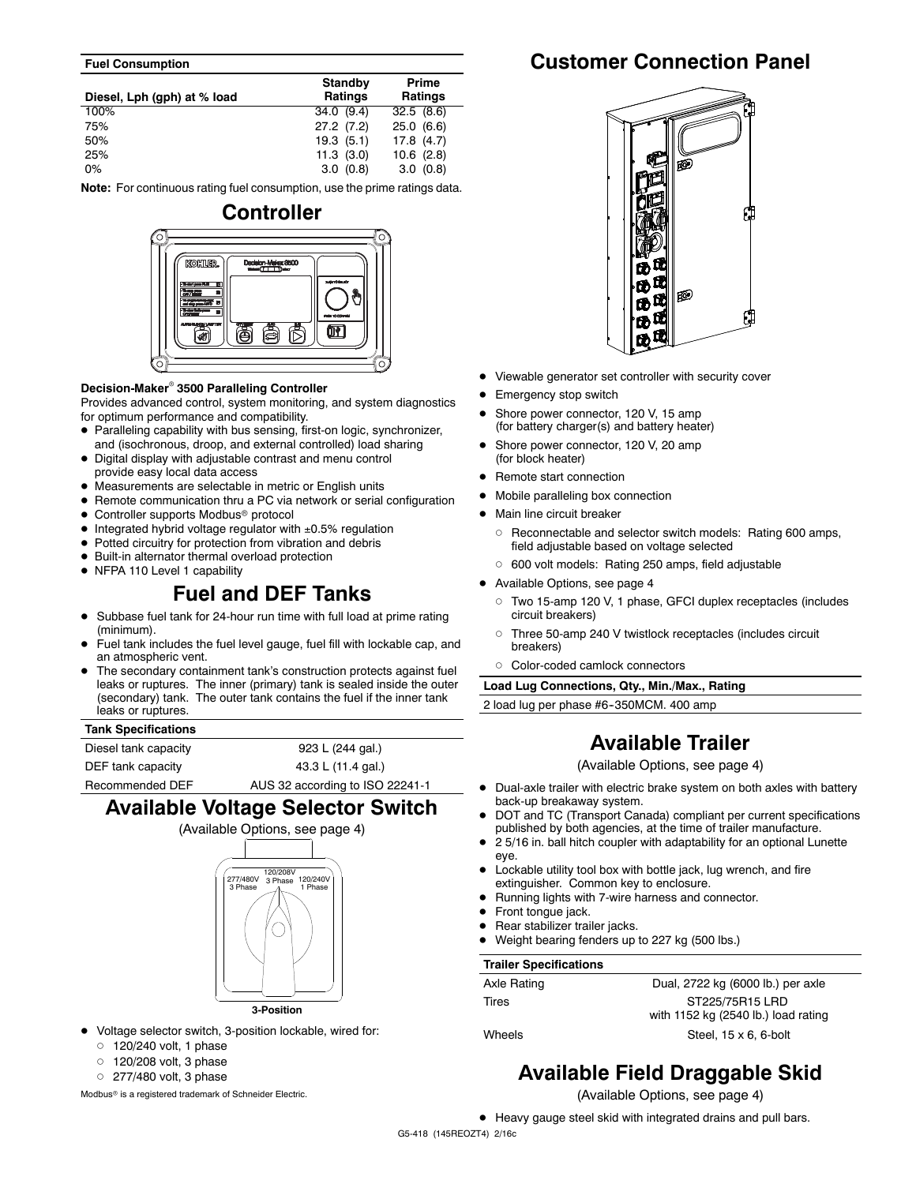#### **Fuel Consumption**

| Diesel, Lph (gph) at % load | <b>Standby</b><br>Ratings | Prime<br><b>Ratings</b> |
|-----------------------------|---------------------------|-------------------------|
| 100%                        | 34.0(9.4)                 | 32.5(8.6)               |
| 75%                         | 27.2(7.2)                 | 25.0(6.6)               |
| 50%                         | 19.3(5.1)                 | 17.8(4.7)               |
| 25%                         | $11.3$ $(3.0)$            | $10.6$ $(2.8)$          |
| $0\%$                       | 3.0(0.8)                  | 3.0(0.8)                |

**Note:** For continuous rating fuel consumption, use the prime ratings data.



#### **Decision-Maker<sup>®</sup> 3500 Paralleling Controller**

Provides advanced control, system monitoring, and system diagnostics for optimum performance and compatibility.

- Paralleling capability with bus sensing, first-on logic, synchronizer, and (isochronous, droop, and external controlled) load sharing
- Digital display with adjustable contrast and menu control provide easy local data access
- $\bullet$  Measurements are selectable in metric or English units
- Remote communication thru a PC via network or serial configuration
- $\bullet$  Controller supports Modbus® protocol
- $\bullet$  Integrated hybrid voltage regulator with  $\pm 0.5\%$  regulation
- $\bullet$  Potted circuitry for protection from vibration and debris
- $\bullet$  Built-in alternator thermal overload protection
- NFPA 110 Level 1 capability

### **Fuel and DEF Tanks**

- Subbase fuel tank for 24-hour run time with full load at prime rating (minimum).
- Fuel tank includes the fuel level gauge, fuel fill with lockable cap, and an atmospheric vent.
- The secondary containment tank's construction protects against fuel leaks or ruptures. The inner (primary) tank is sealed inside the outer (secondary) tank. The outer tank contains the fuel if the inner tank leaks or ruptures.

#### **Tank Specifications**

Diesel tank capacity **923 L (244 gal.)** DEF tank capacity 43.3 L (11.4 gal.) Recommended DEF AUS 32 according to ISO 22241-1

### **Available Voltage Selector Switch**



- $\bullet$  Voltage selector switch, 3-position lockable, wired for:
	- $0$  120/240 volt, 1 phase
	- $0$  120/208 volt, 3 phase
	- $O$  277/480 volt, 3 phase

Modbus<sup>®</sup> is a registered trademark of Schneider Electric.

### **Customer Connection Panel**



- Viewable generator set controller with security cover
- Emergency stop switch
- Shore power connector, 120 V, 15 amp (for battery charger(s) and battery heater)
- Shore power connector, 120 V, 20 amp (for block heater)
- Remote start connection
- $\bullet$  Mobile paralleling box connection
- Main line circuit breaker
	- o Reconnectable and selector switch models: Rating 600 amps, field adjustable based on voltage selected
	- o 600 volt models: Rating 250 amps, field adjustable
- Available Options, see page 4
	- d Two 15-amp 120 V, 1 phase, GFCI duplex receptacles (includes circuit breakers)
	- o Three 50-amp 240 V twistlock receptacles (includes circuit breakers)
	- d Color-coded camlock connectors

**Load Lug Connections, Qty., Min./Max., Rating**

2 load lug per phase #6-350MCM. 400 amp

### **Available Trailer**

(Available Options, see page 4)

- Dual-axle trailer with electric brake system on both axles with battery back-up breakaway system.
- DOT and TC (Transport Canada) compliant per current specifications published by both agencies, at the time of trailer manufacture.
- $\bullet$  2 5/16 in. ball hitch coupler with adaptability for an optional Lunette eye.
- $\bullet$  Lockable utility tool box with bottle jack, lug wrench, and fire extinguisher. Common key to enclosure.
- Running lights with 7-wire harness and connector.
- $\bullet$  Front tongue jack.
- Rear stabilizer trailer jacks.
- Weight bearing fenders up to 227 kg (500 lbs.)

#### **Trailer Specifications**

| Axle Rating | Dual, 2722 kg (6000 lb.) per axle   |
|-------------|-------------------------------------|
| Tires       | ST225/75R15 LRD                     |
|             | with 1152 kg (2540 lb.) load rating |
| Wheels      | Steel, $15 \times 6$ , 6-bolt       |

### **Available Field Draggable Skid**

(Available Options, see page 4)

• Heavy gauge steel skid with integrated drains and pull bars.